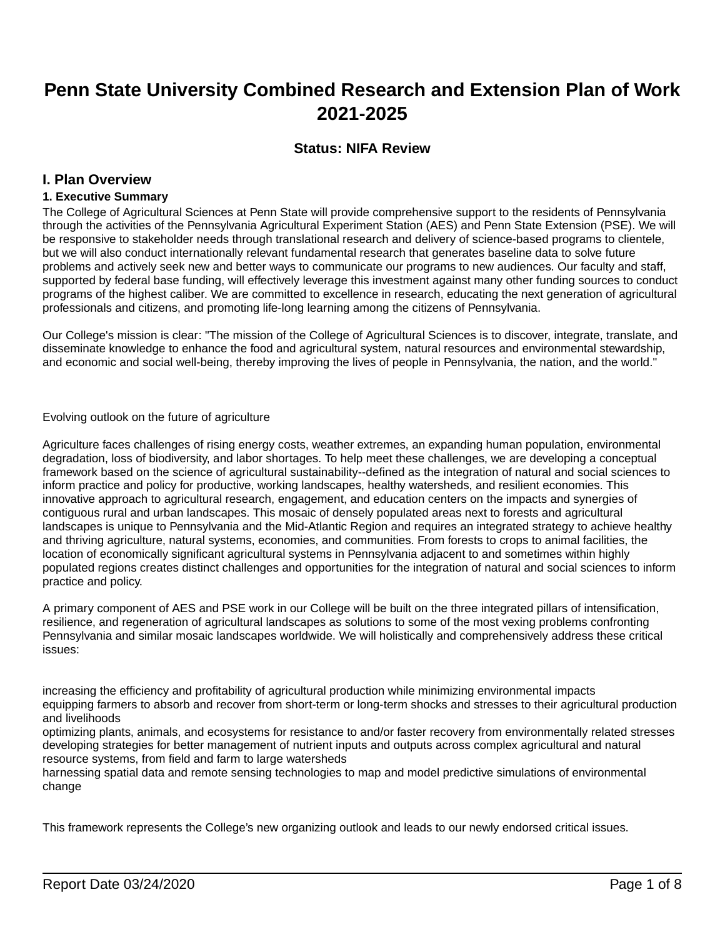# **Penn State University Combined Research and Extension Plan of Work 2021-2025**

# **Status: NIFA Review**

## **I. Plan Overview**

### **1. Executive Summary**

The College of Agricultural Sciences at Penn State will provide comprehensive support to the residents of Pennsylvania through the activities of the Pennsylvania Agricultural Experiment Station (AES) and Penn State Extension (PSE). We will be responsive to stakeholder needs through translational research and delivery of science-based programs to clientele, but we will also conduct internationally relevant fundamental research that generates baseline data to solve future problems and actively seek new and better ways to communicate our programs to new audiences. Our faculty and staff, supported by federal base funding, will effectively leverage this investment against many other funding sources to conduct programs of the highest caliber. We are committed to excellence in research, educating the next generation of agricultural professionals and citizens, and promoting life-long learning among the citizens of Pennsylvania.

Our College's mission is clear: "The mission of the College of Agricultural Sciences is to discover, integrate, translate, and disseminate knowledge to enhance the food and agricultural system, natural resources and environmental stewardship, and economic and social well-being, thereby improving the lives of people in Pennsylvania, the nation, and the world."

Evolving outlook on the future of agriculture

Agriculture faces challenges of rising energy costs, weather extremes, an expanding human population, environmental degradation, loss of biodiversity, and labor shortages. To help meet these challenges, we are developing a conceptual framework based on the science of agricultural sustainability--defined as the integration of natural and social sciences to inform practice and policy for productive, working landscapes, healthy watersheds, and resilient economies. This innovative approach to agricultural research, engagement, and education centers on the impacts and synergies of contiguous rural and urban landscapes. This mosaic of densely populated areas next to forests and agricultural landscapes is unique to Pennsylvania and the Mid-Atlantic Region and requires an integrated strategy to achieve healthy and thriving agriculture, natural systems, economies, and communities. From forests to crops to animal facilities, the location of economically significant agricultural systems in Pennsylvania adjacent to and sometimes within highly populated regions creates distinct challenges and opportunities for the integration of natural and social sciences to inform practice and policy.

A primary component of AES and PSE work in our College will be built on the three integrated pillars of intensification, resilience, and regeneration of agricultural landscapes as solutions to some of the most vexing problems confronting Pennsylvania and similar mosaic landscapes worldwide. We will holistically and comprehensively address these critical issues:

increasing the efficiency and profitability of agricultural production while minimizing environmental impacts equipping farmers to absorb and recover from short-term or long-term shocks and stresses to their agricultural production and livelihoods

optimizing plants, animals, and ecosystems for resistance to and/or faster recovery from environmentally related stresses developing strategies for better management of nutrient inputs and outputs across complex agricultural and natural resource systems, from field and farm to large watersheds

harnessing spatial data and remote sensing technologies to map and model predictive simulations of environmental change

This framework represents the College's new organizing outlook and leads to our newly endorsed critical issues.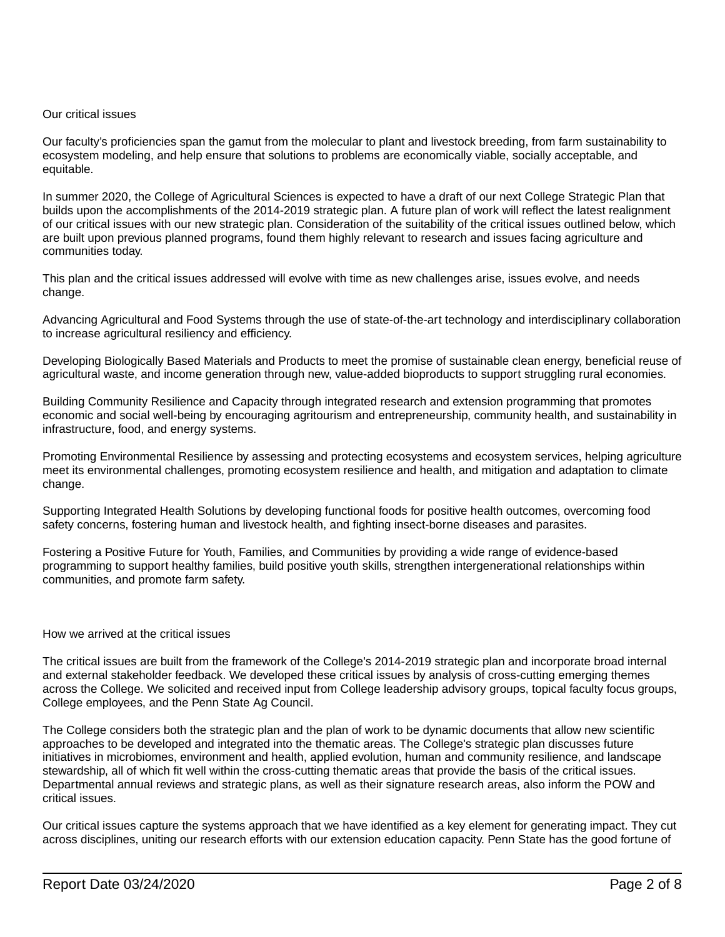### Our critical issues

Our faculty's proficiencies span the gamut from the molecular to plant and livestock breeding, from farm sustainability to ecosystem modeling, and help ensure that solutions to problems are economically viable, socially acceptable, and equitable.

In summer 2020, the College of Agricultural Sciences is expected to have a draft of our next College Strategic Plan that builds upon the accomplishments of the 2014-2019 strategic plan. A future plan of work will reflect the latest realignment of our critical issues with our new strategic plan. Consideration of the suitability of the critical issues outlined below, which are built upon previous planned programs, found them highly relevant to research and issues facing agriculture and communities today.

This plan and the critical issues addressed will evolve with time as new challenges arise, issues evolve, and needs change.

Advancing Agricultural and Food Systems through the use of state-of-the-art technology and interdisciplinary collaboration to increase agricultural resiliency and efficiency.

Developing Biologically Based Materials and Products to meet the promise of sustainable clean energy, beneficial reuse of agricultural waste, and income generation through new, value-added bioproducts to support struggling rural economies.

Building Community Resilience and Capacity through integrated research and extension programming that promotes economic and social well-being by encouraging agritourism and entrepreneurship, community health, and sustainability in infrastructure, food, and energy systems.

Promoting Environmental Resilience by assessing and protecting ecosystems and ecosystem services, helping agriculture meet its environmental challenges, promoting ecosystem resilience and health, and mitigation and adaptation to climate change.

Supporting Integrated Health Solutions by developing functional foods for positive health outcomes, overcoming food safety concerns, fostering human and livestock health, and fighting insect-borne diseases and parasites.

Fostering a Positive Future for Youth, Families, and Communities by providing a wide range of evidence-based programming to support healthy families, build positive youth skills, strengthen intergenerational relationships within communities, and promote farm safety.

### How we arrived at the critical issues

The critical issues are built from the framework of the College's 2014-2019 strategic plan and incorporate broad internal and external stakeholder feedback. We developed these critical issues by analysis of cross-cutting emerging themes across the College. We solicited and received input from College leadership advisory groups, topical faculty focus groups, College employees, and the Penn State Ag Council.

The College considers both the strategic plan and the plan of work to be dynamic documents that allow new scientific approaches to be developed and integrated into the thematic areas. The College's strategic plan discusses future initiatives in microbiomes, environment and health, applied evolution, human and community resilience, and landscape stewardship, all of which fit well within the cross-cutting thematic areas that provide the basis of the critical issues. Departmental annual reviews and strategic plans, as well as their signature research areas, also inform the POW and critical issues.

Our critical issues capture the systems approach that we have identified as a key element for generating impact. They cut across disciplines, uniting our research efforts with our extension education capacity. Penn State has the good fortune of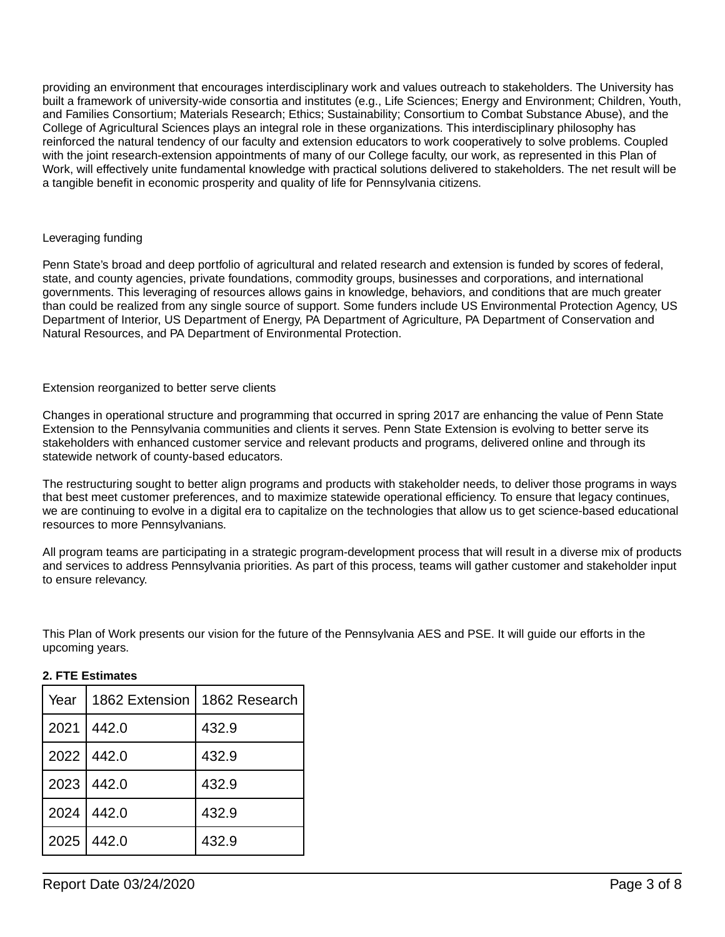providing an environment that encourages interdisciplinary work and values outreach to stakeholders. The University has built a framework of university-wide consortia and institutes (e.g., Life Sciences; Energy and Environment; Children, Youth, and Families Consortium; Materials Research; Ethics; Sustainability; Consortium to Combat Substance Abuse), and the College of Agricultural Sciences plays an integral role in these organizations. This interdisciplinary philosophy has reinforced the natural tendency of our faculty and extension educators to work cooperatively to solve problems. Coupled with the joint research-extension appointments of many of our College faculty, our work, as represented in this Plan of Work, will effectively unite fundamental knowledge with practical solutions delivered to stakeholders. The net result will be a tangible benefit in economic prosperity and quality of life for Pennsylvania citizens.

### Leveraging funding

Penn State's broad and deep portfolio of agricultural and related research and extension is funded by scores of federal, state, and county agencies, private foundations, commodity groups, businesses and corporations, and international governments. This leveraging of resources allows gains in knowledge, behaviors, and conditions that are much greater than could be realized from any single source of support. Some funders include US Environmental Protection Agency, US Department of Interior, US Department of Energy, PA Department of Agriculture, PA Department of Conservation and Natural Resources, and PA Department of Environmental Protection.

### Extension reorganized to better serve clients

Changes in operational structure and programming that occurred in spring 2017 are enhancing the value of Penn State Extension to the Pennsylvania communities and clients it serves. Penn State Extension is evolving to better serve its stakeholders with enhanced customer service and relevant products and programs, delivered online and through its statewide network of county-based educators.

The restructuring sought to better align programs and products with stakeholder needs, to deliver those programs in ways that best meet customer preferences, and to maximize statewide operational efficiency. To ensure that legacy continues, we are continuing to evolve in a digital era to capitalize on the technologies that allow us to get science-based educational resources to more Pennsylvanians.

All program teams are participating in a strategic program-development process that will result in a diverse mix of products and services to address Pennsylvania priorities. As part of this process, teams will gather customer and stakeholder input to ensure relevancy.

This Plan of Work presents our vision for the future of the Pennsylvania AES and PSE. It will guide our efforts in the upcoming years.

| Year | 1862 Extension | 1862 Research |
|------|----------------|---------------|
| 2021 | 442.0          | 432.9         |
| 2022 | 442.0          | 432.9         |
| 2023 | 442.0          | 432.9         |
| 2024 | 442.0          | 432.9         |
| 2025 | 442.0          | 432.9         |

### **2. FTE Estimates**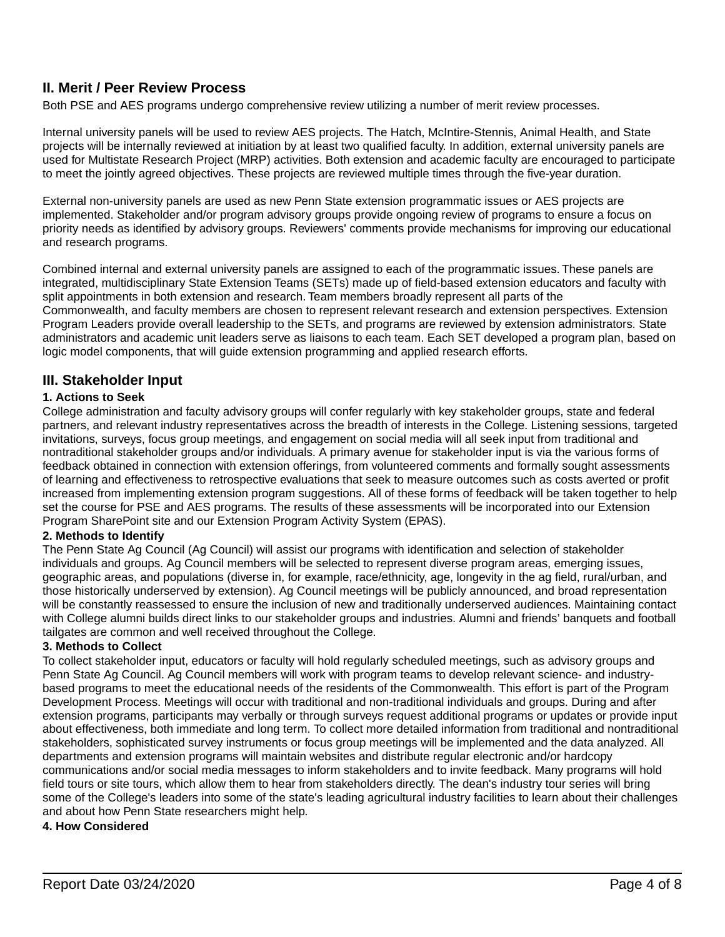# **II. Merit / Peer Review Process**

Both PSE and AES programs undergo comprehensive review utilizing a number of merit review processes.

Internal university panels will be used to review AES projects. The Hatch, McIntire-Stennis, Animal Health, and State projects will be internally reviewed at initiation by at least two qualified faculty. In addition, external university panels are used for Multistate Research Project (MRP) activities. Both extension and academic faculty are encouraged to participate to meet the jointly agreed objectives. These projects are reviewed multiple times through the five-year duration.

External non-university panels are used as new Penn State extension programmatic issues or AES projects are implemented. Stakeholder and/or program advisory groups provide ongoing review of programs to ensure a focus on priority needs as identified by advisory groups. Reviewers' comments provide mechanisms for improving our educational and research programs.

Combined internal and external university panels are assigned to each of the programmatic issues. These panels are integrated, multidisciplinary State Extension Teams (SETs) made up of field-based extension educators and faculty with split appointments in both extension and research. Team members broadly represent all parts of the Commonwealth, and faculty members are chosen to represent relevant research and extension perspectives. Extension Program Leaders provide overall leadership to the SETs, and programs are reviewed by extension administrators. State administrators and academic unit leaders serve as liaisons to each team. Each SET developed a program plan, based on logic model components, that will guide extension programming and applied research efforts.

## **III. Stakeholder Input**

### **1. Actions to Seek**

College administration and faculty advisory groups will confer regularly with key stakeholder groups, state and federal partners, and relevant industry representatives across the breadth of interests in the College. Listening sessions, targeted invitations, surveys, focus group meetings, and engagement on social media will all seek input from traditional and nontraditional stakeholder groups and/or individuals. A primary avenue for stakeholder input is via the various forms of feedback obtained in connection with extension offerings, from volunteered comments and formally sought assessments of learning and effectiveness to retrospective evaluations that seek to measure outcomes such as costs averted or profit increased from implementing extension program suggestions. All of these forms of feedback will be taken together to help set the course for PSE and AES programs. The results of these assessments will be incorporated into our Extension Program SharePoint site and our Extension Program Activity System (EPAS).

### **2. Methods to Identify**

The Penn State Ag Council (Ag Council) will assist our programs with identification and selection of stakeholder individuals and groups. Ag Council members will be selected to represent diverse program areas, emerging issues, geographic areas, and populations (diverse in, for example, race/ethnicity, age, longevity in the ag field, rural/urban, and those historically underserved by extension). Ag Council meetings will be publicly announced, and broad representation will be constantly reassessed to ensure the inclusion of new and traditionally underserved audiences. Maintaining contact with College alumni builds direct links to our stakeholder groups and industries. Alumni and friends' banquets and football tailgates are common and well received throughout the College.

### **3. Methods to Collect**

To collect stakeholder input, educators or faculty will hold regularly scheduled meetings, such as advisory groups and Penn State Ag Council. Ag Council members will work with program teams to develop relevant science- and industrybased programs to meet the educational needs of the residents of the Commonwealth. This effort is part of the Program Development Process. Meetings will occur with traditional and non-traditional individuals and groups. During and after extension programs, participants may verbally or through surveys request additional programs or updates or provide input about effectiveness, both immediate and long term. To collect more detailed information from traditional and nontraditional stakeholders, sophisticated survey instruments or focus group meetings will be implemented and the data analyzed. All departments and extension programs will maintain websites and distribute regular electronic and/or hardcopy communications and/or social media messages to inform stakeholders and to invite feedback. Many programs will hold field tours or site tours, which allow them to hear from stakeholders directly. The dean's industry tour series will bring some of the College's leaders into some of the state's leading agricultural industry facilities to learn about their challenges and about how Penn State researchers might help.

### **4. How Considered**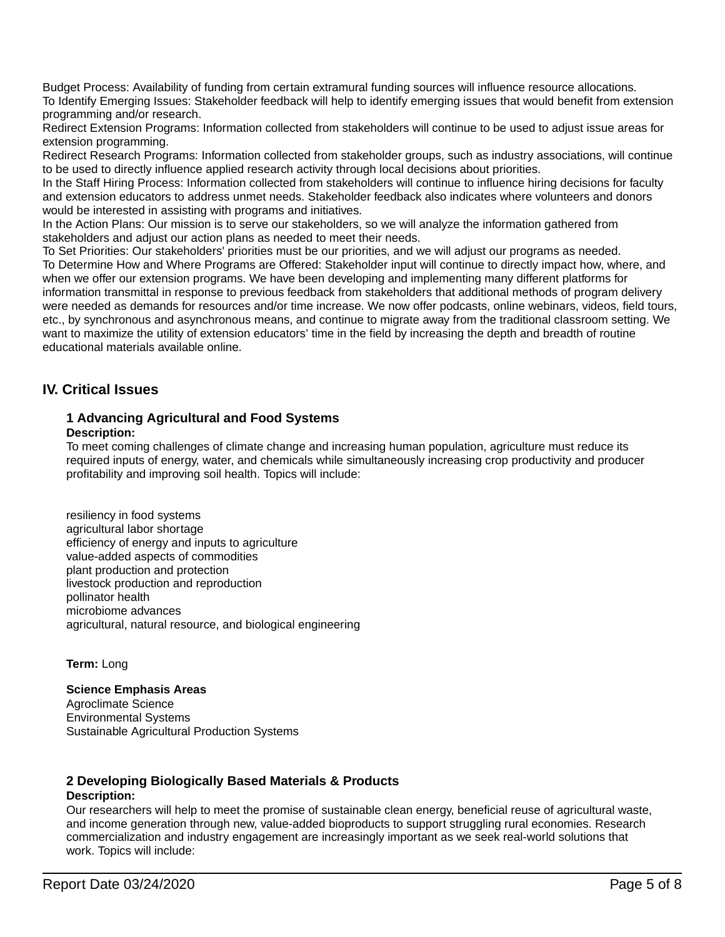Budget Process: Availability of funding from certain extramural funding sources will influence resource allocations. To Identify Emerging Issues: Stakeholder feedback will help to identify emerging issues that would benefit from extension programming and/or research.

Redirect Extension Programs: Information collected from stakeholders will continue to be used to adjust issue areas for extension programming.

Redirect Research Programs: Information collected from stakeholder groups, such as industry associations, will continue to be used to directly influence applied research activity through local decisions about priorities.

In the Staff Hiring Process: Information collected from stakeholders will continue to influence hiring decisions for faculty and extension educators to address unmet needs. Stakeholder feedback also indicates where volunteers and donors would be interested in assisting with programs and initiatives.

In the Action Plans: Our mission is to serve our stakeholders, so we will analyze the information gathered from stakeholders and adjust our action plans as needed to meet their needs.

To Set Priorities: Our stakeholders' priorities must be our priorities, and we will adjust our programs as needed. To Determine How and Where Programs are Offered: Stakeholder input will continue to directly impact how, where, and when we offer our extension programs. We have been developing and implementing many different platforms for information transmittal in response to previous feedback from stakeholders that additional methods of program delivery were needed as demands for resources and/or time increase. We now offer podcasts, online webinars, videos, field tours, etc., by synchronous and asynchronous means, and continue to migrate away from the traditional classroom setting. We want to maximize the utility of extension educators' time in the field by increasing the depth and breadth of routine educational materials available online.

# **IV. Critical Issues**

### **1 Advancing Agricultural and Food Systems Description:**

To meet coming challenges of climate change and increasing human population, agriculture must reduce its required inputs of energy, water, and chemicals while simultaneously increasing crop productivity and producer profitability and improving soil health. Topics will include:

resiliency in food systems agricultural labor shortage efficiency of energy and inputs to agriculture value-added aspects of commodities plant production and protection livestock production and reproduction pollinator health microbiome advances agricultural, natural resource, and biological engineering

**Term:** Long

### **Science Emphasis Areas**

Agroclimate Science Environmental Systems Sustainable Agricultural Production Systems

# **2 Developing Biologically Based Materials & Products**

### **Description:**

Our researchers will help to meet the promise of sustainable clean energy, beneficial reuse of agricultural waste, and income generation through new, value-added bioproducts to support struggling rural economies. Research commercialization and industry engagement are increasingly important as we seek real-world solutions that work. Topics will include: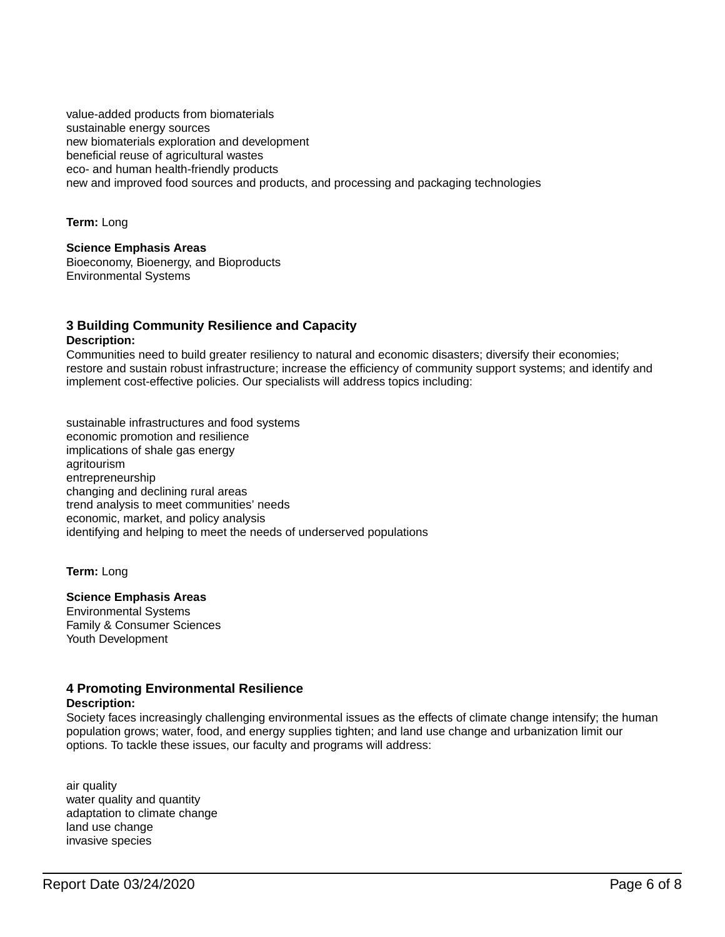value-added products from biomaterials sustainable energy sources new biomaterials exploration and development beneficial reuse of agricultural wastes eco- and human health-friendly products new and improved food sources and products, and processing and packaging technologies

**Term:** Long

**Science Emphasis Areas** Bioeconomy, Bioenergy, and Bioproducts Environmental Systems

### **3 Building Community Resilience and Capacity Description:**

Communities need to build greater resiliency to natural and economic disasters; diversify their economies; restore and sustain robust infrastructure; increase the efficiency of community support systems; and identify and implement cost-effective policies. Our specialists will address topics including:

sustainable infrastructures and food systems economic promotion and resilience implications of shale gas energy agritourism entrepreneurship changing and declining rural areas trend analysis to meet communities' needs economic, market, and policy analysis identifying and helping to meet the needs of underserved populations

**Term:** Long

### **Science Emphasis Areas**

Environmental Systems Family & Consumer Sciences Youth Development

### **4 Promoting Environmental Resilience**

### **Description:**

Society faces increasingly challenging environmental issues as the effects of climate change intensify; the human population grows; water, food, and energy supplies tighten; and land use change and urbanization limit our options. To tackle these issues, our faculty and programs will address:

air quality water quality and quantity adaptation to climate change land use change invasive species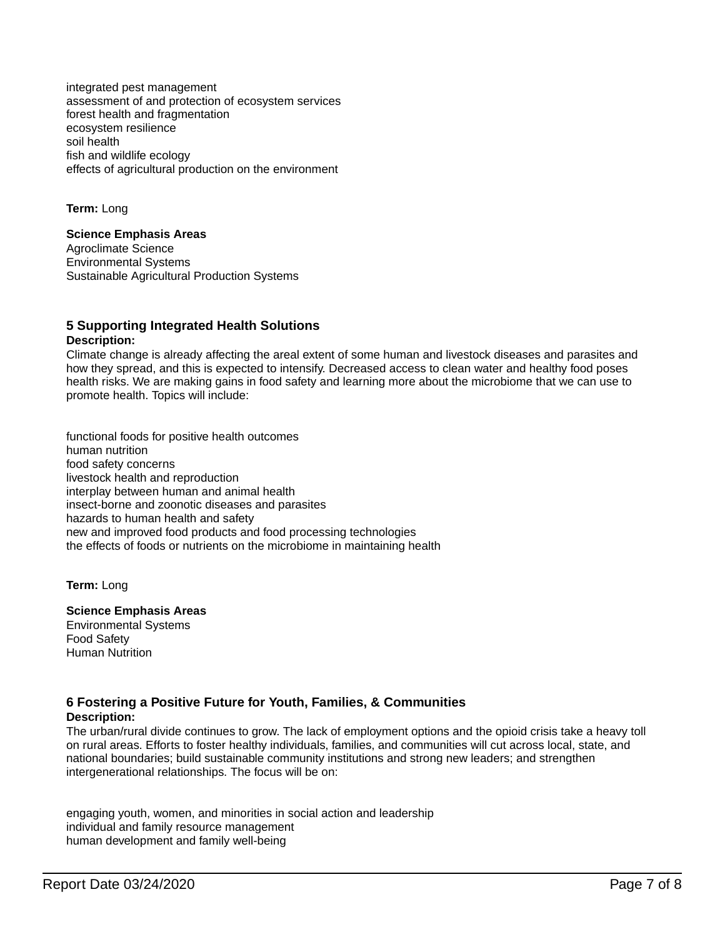integrated pest management assessment of and protection of ecosystem services forest health and fragmentation ecosystem resilience soil health fish and wildlife ecology effects of agricultural production on the environment

**Term:** Long

**Science Emphasis Areas** Agroclimate Science Environmental Systems Sustainable Agricultural Production Systems

### **5 Supporting Integrated Health Solutions Description:**

Climate change is already affecting the areal extent of some human and livestock diseases and parasites and how they spread, and this is expected to intensify. Decreased access to clean water and healthy food poses health risks. We are making gains in food safety and learning more about the microbiome that we can use to promote health. Topics will include:

functional foods for positive health outcomes human nutrition food safety concerns livestock health and reproduction interplay between human and animal health insect-borne and zoonotic diseases and parasites hazards to human health and safety new and improved food products and food processing technologies the effects of foods or nutrients on the microbiome in maintaining health

**Term:** Long

### **Science Emphasis Areas**

Environmental Systems Food Safety Human Nutrition

### **6 Fostering a Positive Future for Youth, Families, & Communities Description:**

The urban/rural divide continues to grow. The lack of employment options and the opioid crisis take a heavy toll on rural areas. Efforts to foster healthy individuals, families, and communities will cut across local, state, and national boundaries; build sustainable community institutions and strong new leaders; and strengthen intergenerational relationships. The focus will be on:

engaging youth, women, and minorities in social action and leadership individual and family resource management human development and family well-being